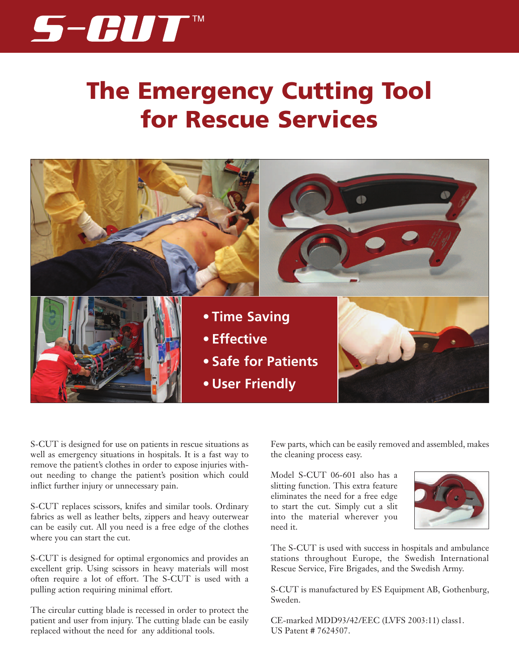

# **The Emergency Cutting Tool for Rescue Services**



S-CUT is designed for use on patients in rescue situations as well as emergency situations in hospitals. It is a fast way to remove the patient's clothes in order to expose injuries without needing to change the patient's position which could inflict further injury or unnecessary pain.

S-CUT replaces scissors, knifes and similar tools. Ordinary fabrics as well as leather belts, zippers and heavy outerwear can be easily cut. All you need is a free edge of the clothes where you can start the cut.

S-CUT is designed for optimal ergonomics and provides an excellent grip. Using scissors in heavy materials will most often require a lot of effort. The S-CUT is used with a pulling action requiring minimal effort.

The circular cutting blade is recessed in order to protect the patient and user from injury. The cutting blade can be easily replaced without the need for any additional tools.

Few parts, which can be easily removed and assembled, makes the cleaning process easy.

Model S-CUT 06-601 also has a slitting function. This extra feature eliminates the need for a free edge to start the cut. Simply cut a slit into the material wherever you need it.



The S-CUT is used with success in hospitals and ambulance stations throughout Europe, the Swedish International Rescue Service, Fire Brigades, and the Swedish Army.

S-CUT is manufactured by ES Equipment AB, Gothenburg, Sweden.

CE-marked MDD93/42/EEC (LVFS 2003:11) class1. US Patent # 7624507.